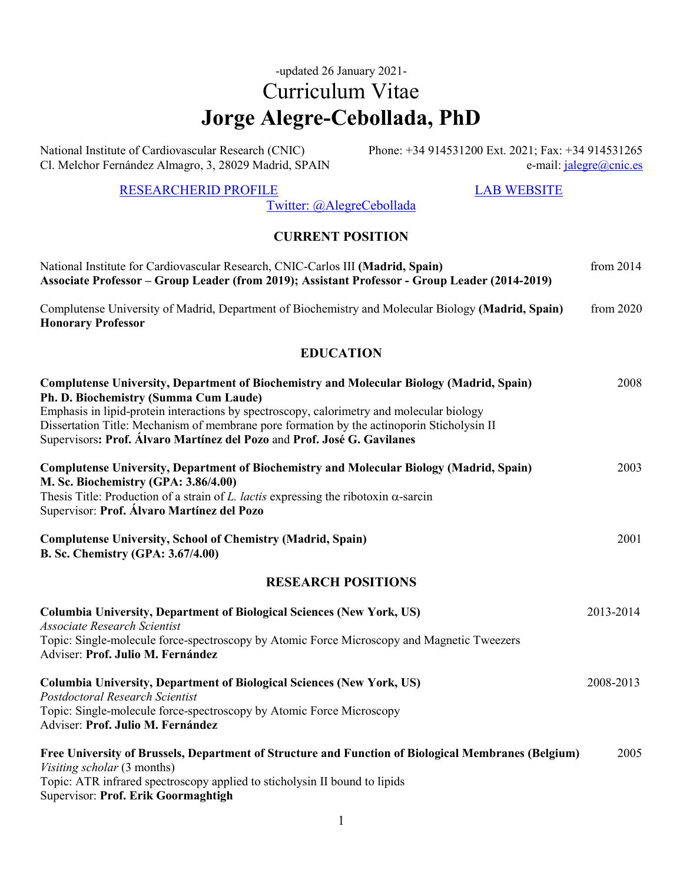# -updated 26 January 2021- Curriculum Vitae **Jorge Alegre-Cebollada, PhD**

National Institute of Cardiovascular Research (CNIC) Cl. Melchor Fernández Almagro, 3, 28029 Madrid, SPAIN Phone: +34 914531200 Ext. 2021; Fax: +34 914531265 e-mail: [jalegre@cnic.es](mailto:jalegre@cnic.es)

#### [RESEARCHERID PROFILE](http://www.researcherid.com/rid/I-4301-2014) [LAB WEBSITE](https://www.cnic.es/en/investigacion/molecular-mechanics-cardiovascular-system)

[Twitter: @AlegreCebollada](https://twitter.com/alegrecebollada?lang=en)

## **CURRENT POSITION**

| National Institute for Cardiovascular Research, CNIC-Carlos III (Madrid, Spain)<br>Associate Professor – Group Leader (from 2019); Assistant Professor - Group Leader (2014-2019)                                                                                                                                                                                                                       | from $2014$ |
|---------------------------------------------------------------------------------------------------------------------------------------------------------------------------------------------------------------------------------------------------------------------------------------------------------------------------------------------------------------------------------------------------------|-------------|
| Complutense University of Madrid, Department of Biochemistry and Molecular Biology (Madrid, Spain)<br><b>Honorary Professor</b>                                                                                                                                                                                                                                                                         | from 2020   |
| <b>EDUCATION</b>                                                                                                                                                                                                                                                                                                                                                                                        |             |
| Complutense University, Department of Biochemistry and Molecular Biology (Madrid, Spain)<br>Ph. D. Biochemistry (Summa Cum Laude)<br>Emphasis in lipid-protein interactions by spectroscopy, calorimetry and molecular biology<br>Dissertation Title: Mechanism of membrane pore formation by the actinoporin Sticholysin II<br>Supervisors: Prof. Álvaro Martínez del Pozo and Prof. José G. Gavilanes | 2008        |
| Complutense University, Department of Biochemistry and Molecular Biology (Madrid, Spain)<br>M. Sc. Biochemistry (GPA: 3.86/4.00)<br>Thesis Title: Production of a strain of L. lactis expressing the ribotoxin $\alpha$ -sarcin<br>Supervisor: Prof. Álvaro Martínez del Pozo                                                                                                                           | 2003        |
| <b>Complutense University, School of Chemistry (Madrid, Spain)</b><br><b>B. Sc. Chemistry (GPA: 3.67/4.00)</b>                                                                                                                                                                                                                                                                                          | 2001        |
| <b>RESEARCH POSITIONS</b>                                                                                                                                                                                                                                                                                                                                                                               |             |
| Columbia University, Department of Biological Sciences (New York, US)<br><b>Associate Research Scientist</b><br>Topic: Single-molecule force-spectroscopy by Atomic Force Microscopy and Magnetic Tweezers<br>Adviser: Prof. Julio M. Fernández                                                                                                                                                         | 2013-2014   |
| <b>Columbia University, Department of Biological Sciences (New York, US)</b><br>Postdoctoral Research Scientist<br>Topic: Single-molecule force-spectroscopy by Atomic Force Microscopy<br>Adviser: Prof. Julio M. Fernández                                                                                                                                                                            | 2008-2013   |
| Free University of Brussels, Department of Structure and Function of Biological Membranes (Belgium)<br>Visiting scholar (3 months)<br>Topic: ATR infrared spectroscopy applied to sticholysin II bound to lipids<br>Supervisor: Prof. Erik Goormaghtigh                                                                                                                                                 | 2005        |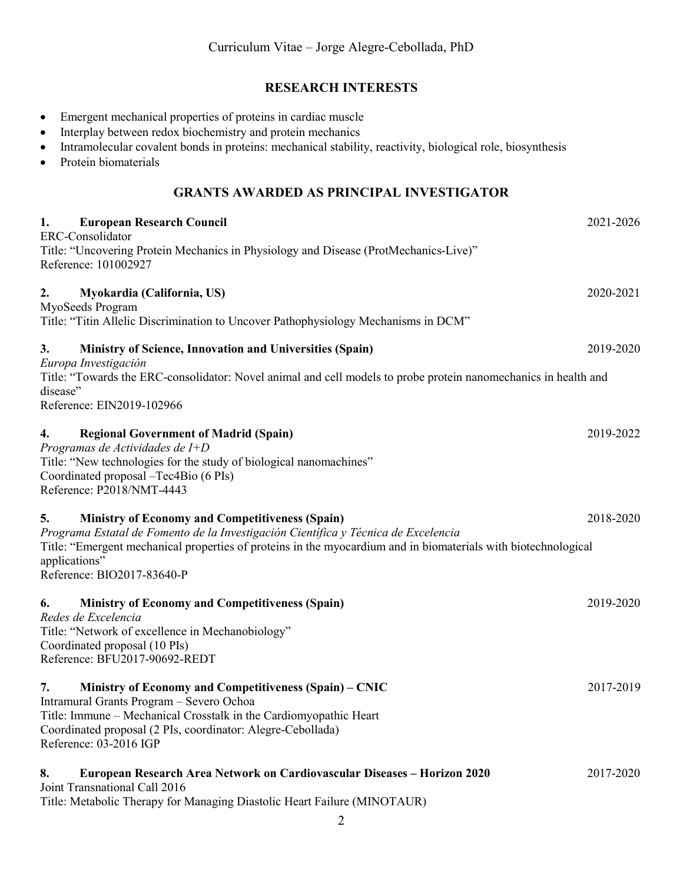### **RESEARCH INTERESTS**

- Emergent mechanical properties of proteins in cardiac muscle
- Interplay between redox biochemistry and protein mechanics
- Intramolecular covalent bonds in proteins: mechanical stability, reactivity, biological role, biosynthesis
- Protein biomaterials

## **GRANTS AWARDED AS PRINCIPAL INVESTIGATOR**

| 1.<br><b>European Research Council</b><br>ERC-Consolidator                                                                                                                                                                                                                                                          | 2021-2026 |
|---------------------------------------------------------------------------------------------------------------------------------------------------------------------------------------------------------------------------------------------------------------------------------------------------------------------|-----------|
| Title: "Uncovering Protein Mechanics in Physiology and Disease (ProtMechanics-Live)"<br>Reference: 101002927                                                                                                                                                                                                        |           |
| 2.<br>Myokardia (California, US)<br>MyoSeeds Program<br>Title: "Titin Allelic Discrimination to Uncover Pathophysiology Mechanisms in DCM"                                                                                                                                                                          | 2020-2021 |
| 3.<br>Ministry of Science, Innovation and Universities (Spain)<br>Europa Investigación                                                                                                                                                                                                                              | 2019-2020 |
| Title: "Towards the ERC-consolidator: Novel animal and cell models to probe protein nanomechanics in health and<br>disease"<br>Reference: EIN2019-102966                                                                                                                                                            |           |
| 4.<br><b>Regional Government of Madrid (Spain)</b><br>Programas de Actividades de I+D<br>Title: "New technologies for the study of biological nanomachines"<br>Coordinated proposal -Tec4Bio (6 PIs)<br>Reference: P2018/NMT-4443                                                                                   | 2019-2022 |
| 5.<br><b>Ministry of Economy and Competitiveness (Spain)</b><br>Programa Estatal de Fomento de la Investigación Científica y Técnica de Excelencia<br>Title: "Emergent mechanical properties of proteins in the myocardium and in biomaterials with biotechnological<br>applications"<br>Reference: BIO2017-83640-P | 2018-2020 |
| <b>Ministry of Economy and Competitiveness (Spain)</b><br>6.<br>Redes de Excelencia<br>Title: "Network of excellence in Mechanobiology"<br>Coordinated proposal (10 PIs)<br>Reference: BFU2017-90692-REDT                                                                                                           | 2019-2020 |
| 7.<br>Ministry of Economy and Competitiveness (Spain) – CNIC<br>Intramural Grants Program - Severo Ochoa<br>Title: Immune – Mechanical Crosstalk in the Cardiomyopathic Heart<br>Coordinated proposal (2 PIs, coordinator: Alegre-Cebollada)<br>Reference: 03-2016 IGP                                              | 2017-2019 |
| European Research Area Network on Cardiovascular Diseases - Horizon 2020<br>8.<br>Joint Transnational Call 2016<br>Title: Metabolic Therapy for Managing Diastolic Heart Failure (MINOTAUR)                                                                                                                         | 2017-2020 |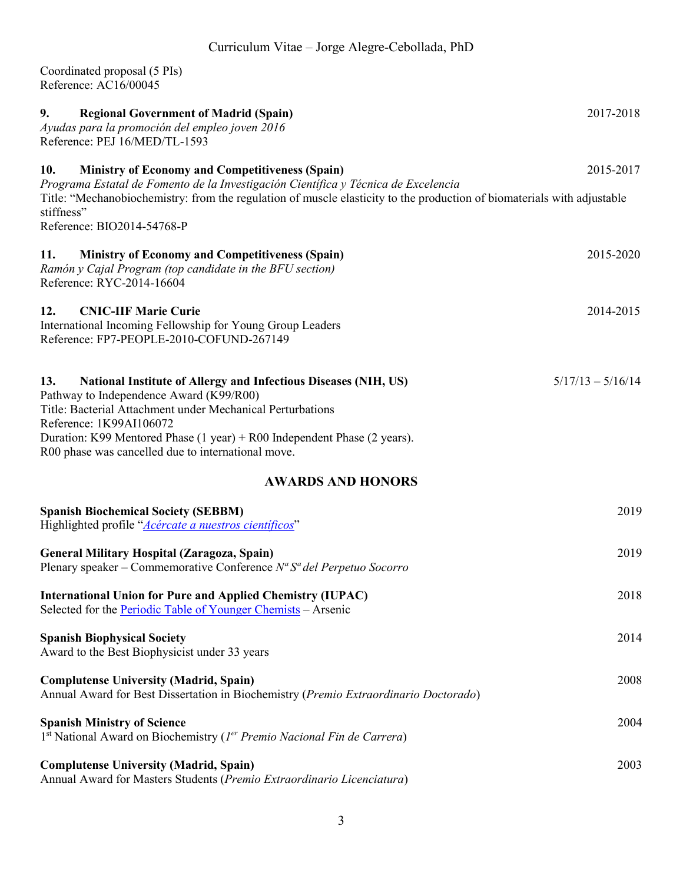Coordinated proposal (5 PIs) Reference: AC16/00045

| 9.<br><b>Regional Government of Madrid (Spain)</b><br>Ayudas para la promoción del empleo joven 2016<br>Reference: PEJ 16/MED/TL-1593                                                                                                                                                                                                             | 2017-2018           |
|---------------------------------------------------------------------------------------------------------------------------------------------------------------------------------------------------------------------------------------------------------------------------------------------------------------------------------------------------|---------------------|
| <b>Ministry of Economy and Competitiveness (Spain)</b><br>10.                                                                                                                                                                                                                                                                                     | 2015-2017           |
| Programa Estatal de Fomento de la Investigación Científica y Técnica de Excelencia<br>Title: "Mechanobiochemistry: from the regulation of muscle elasticity to the production of biomaterials with adjustable<br>stiffness"<br>Reference: BIO2014-54768-P                                                                                         |                     |
| <b>Ministry of Economy and Competitiveness (Spain)</b><br>11.<br>Ramón y Cajal Program (top candidate in the BFU section)<br>Reference: RYC-2014-16604                                                                                                                                                                                            | 2015-2020           |
| 12.<br><b>CNIC-IIF Marie Curie</b><br>International Incoming Fellowship for Young Group Leaders<br>Reference: FP7-PEOPLE-2010-COFUND-267149                                                                                                                                                                                                       | 2014-2015           |
| National Institute of Allergy and Infectious Diseases (NIH, US)<br>13.<br>Pathway to Independence Award (K99/R00)<br>Title: Bacterial Attachment under Mechanical Perturbations<br>Reference: 1K99AI106072<br>Duration: K99 Mentored Phase $(1 year) + R00$ Independent Phase $(2 years)$ .<br>R00 phase was cancelled due to international move. | $5/17/13 - 5/16/14$ |
| <b>AWARDS AND HONORS</b>                                                                                                                                                                                                                                                                                                                          |                     |
| <b>Spanish Biochemical Society (SEBBM)</b><br>Highlighted profile "Acércate a nuestros científicos"                                                                                                                                                                                                                                               | 2019                |
| General Military Hospital (Zaragoza, Spain)<br>Plenary speaker – Commemorative Conference $N^a S^a$ del Perpetuo Socorro                                                                                                                                                                                                                          | 2019                |
| <b>International Union for Pure and Applied Chemistry (IUPAC)</b><br>Selected for the Periodic Table of Younger Chemists – Arsenic                                                                                                                                                                                                                | 2018                |
| <b>Spanish Biophysical Society</b><br>Award to the Best Biophysicist under 33 years                                                                                                                                                                                                                                                               | 2014                |
| <b>Complutense University (Madrid, Spain)</b><br>Annual Award for Best Dissertation in Biochemistry (Premio Extraordinario Doctorado)                                                                                                                                                                                                             | 2008                |
| <b>Spanish Ministry of Science</b><br>1st National Award on Biochemistry (1er Premio Nacional Fin de Carrera)                                                                                                                                                                                                                                     | 2004                |
| <b>Complutense University (Madrid, Spain)</b><br>Annual Award for Masters Students (Premio Extraordinario Licenciatura)                                                                                                                                                                                                                           | 2003                |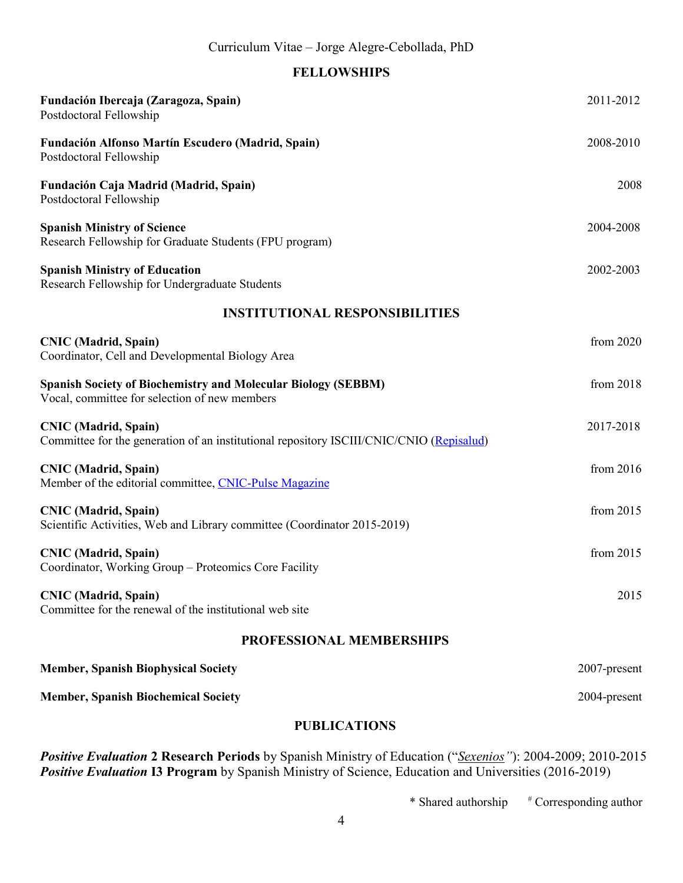## **FELLOWSHIPS**

| Fundación Ibercaja (Zaragoza, Spain)<br>Postdoctoral Fellowship                                                         | 2011-2012    |  |
|-------------------------------------------------------------------------------------------------------------------------|--------------|--|
| Fundación Alfonso Martín Escudero (Madrid, Spain)<br>Postdoctoral Fellowship                                            | 2008-2010    |  |
| Fundación Caja Madrid (Madrid, Spain)<br>Postdoctoral Fellowship                                                        | 2008         |  |
| <b>Spanish Ministry of Science</b><br>Research Fellowship for Graduate Students (FPU program)                           | 2004-2008    |  |
| <b>Spanish Ministry of Education</b><br>Research Fellowship for Undergraduate Students                                  | 2002-2003    |  |
| <b>INSTITUTIONAL RESPONSIBILITIES</b>                                                                                   |              |  |
| <b>CNIC</b> (Madrid, Spain)<br>Coordinator, Cell and Developmental Biology Area                                         | from 2020    |  |
| <b>Spanish Society of Biochemistry and Molecular Biology (SEBBM)</b><br>Vocal, committee for selection of new members   | from 2018    |  |
| <b>CNIC</b> (Madrid, Spain)<br>Committee for the generation of an institutional repository ISCIII/CNIC/CNIO (Repisalud) | 2017-2018    |  |
| <b>CNIC</b> (Madrid, Spain)<br>Member of the editorial committee, CNIC-Pulse Magazine                                   | from 2016    |  |
| <b>CNIC</b> (Madrid, Spain)<br>Scientific Activities, Web and Library committee (Coordinator 2015-2019)                 | from 2015    |  |
| <b>CNIC</b> (Madrid, Spain)<br>Coordinator, Working Group - Proteomics Core Facility                                    | from $2015$  |  |
| <b>CNIC</b> (Madrid, Spain)<br>Committee for the renewal of the institutional web site                                  | 2015         |  |
| PROFESSIONAL MEMBERSHIPS                                                                                                |              |  |
| <b>Member, Spanish Biophysical Society</b>                                                                              | 2007-present |  |
| <b>Member, Spanish Biochemical Society</b>                                                                              | 2004-present |  |
| <b>PUBLICATIONS</b>                                                                                                     |              |  |
|                                                                                                                         |              |  |

*Positive Evaluation* **2 Research Periods** by Spanish Ministry of Education ("*Sexenios"*): 2004-2009; 2010-2015 **Positive Evaluation 13 Program** by Spanish Ministry of Science, Education and Universities (2016-2019)

 $*$  Shared authorship  $*$  Corresponding author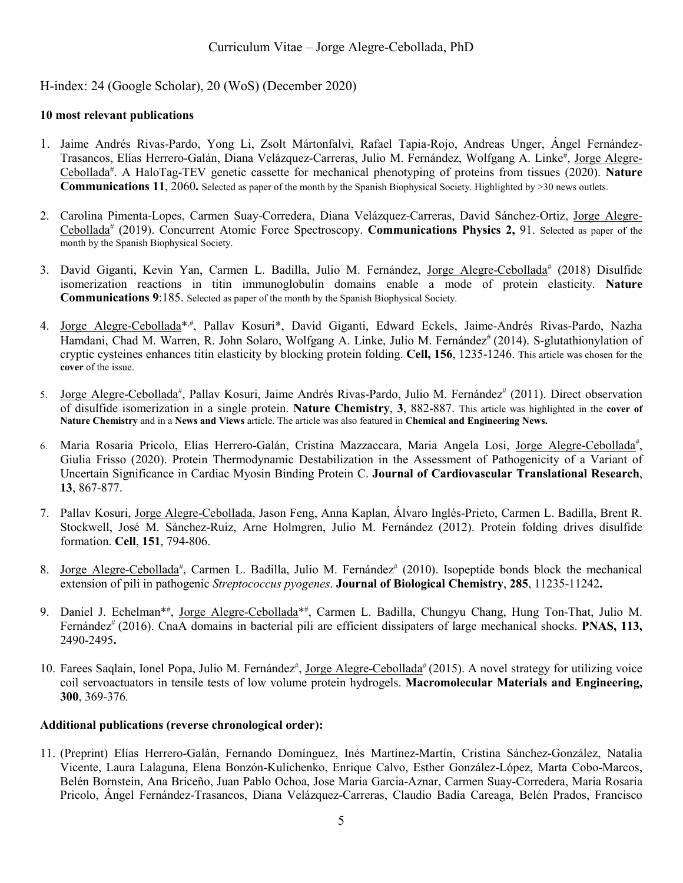H-index: 24 (Google Scholar), 20 (WoS) (December 2020)

#### **10 most relevant publications**

- 1. Jaime Andrés Rivas-Pardo, Yong Li, Zsolt Mártonfalvi, Rafael Tapia-Rojo, Andreas Unger, Ángel Fernández-Trasancos, Elías Herrero-Galán, Diana Velázquez-Carreras, Julio M. Fernández, Wolfgang A. Linke#, Jorge Alegre-Cebollada<sup>#</sup>. A HaloTag-TEV genetic cassette for mechanical phenotyping of proteins from tissues (2020). Nature **Communications 11**, 2060**.** Selected as paper of the month by the Spanish Biophysical Society. Highlighted by >30 news outlets.
- 2. Carolina Pimenta-Lopes, Carmen Suay-Corredera, Diana Velázquez-Carreras, David Sánchez-Ortiz, Jorge Alegre-Cebollada# (2019). Concurrent Atomic Force Spectroscopy. **Communications Physics 2,** 91. Selected as paper of the month by the Spanish Biophysical Society.
- 3. David Giganti, Kevin Yan, Carmen L. Badilla, Julio M. Fernández, Jorge Alegre-Cebollada<sup>#</sup> (2018) Disulfide isomerization reactions in titin immunoglobulin domains enable a mode of protein elasticity. **Nature Communications 9**:185. Selected as paper of the month by the Spanish Biophysical Society.
- 4. Jorge Alegre-Cebollada<sup>\*,#</sup>, Pallav Kosuri<sup>\*</sup>, David Giganti, Edward Eckels, Jaime-Andrés Rivas-Pardo, Nazha Hamdani, Chad M. Warren, R. John Solaro, Wolfgang A. Linke, Julio M. Fernández<sup>#</sup> (2014). S-glutathionylation of cryptic cysteines enhances titin elasticity by blocking protein folding. **Cell, 156**, 1235-1246. This article was chosen for the **cover** of the issue.
- 5. Jorge Alegre-Cebollada<sup>#</sup>, Pallav Kosuri, Jaime Andrés Rivas-Pardo, Julio M. Fernández<sup>#</sup> (2011). Direct observation of disulfide isomerization in a single protein. **Nature Chemistry**, **3**, 882-887. This article was highlighted in the **cover of Nature Chemistry** and in a **News and Views** article. The article was also featured in **Chemical and Engineering News.**
- 6. Maria Rosaria Pricolo, Elías Herrero-Galán, Cristina Mazzaccara, Maria Angela Losi, Jorge Alegre-Cebollada<sup>#</sup>, Giulia Frisso (2020). Protein Thermodynamic Destabilization in the Assessment of Pathogenicity of a Variant of Uncertain Significance in Cardiac Myosin Binding Protein C. **Journal of Cardiovascular Translational Research**, **13**, 867-877.
- 7. Pallav Kosuri, Jorge Alegre-Cebollada, Jason Feng, Anna Kaplan, Álvaro Inglés-Prieto, Carmen L. Badilla, Brent R. Stockwell, José M. Sánchez-Ruiz, Arne Holmgren, Julio M. Fernández (2012). Protein folding drives disulfide formation. **Cell**, **151**, 794-806.
- 8. Jorge Alegre-Cebollada<sup>#</sup>, Carmen L. Badilla, Julio M. Fernández<sup>#</sup> (2010). Isopeptide bonds block the mechanical extension of pili in pathogenic *Streptococcus pyogenes*. **Journal of Biological Chemistry**, **285**, 11235-11242**.**
- 9. Daniel J. Echelman\*<sup>#</sup>, Jorge Alegre-Cebollada<sup>\*#</sup>, Carmen L. Badilla, Chungyu Chang, Hung Ton-That, Julio M. Fernández<sup>#</sup> (2016). CnaA domains in bacterial pili are efficient dissipaters of large mechanical shocks. **PNAS**, 113, 2490-2495**.**
- 10. Farees Saqlain, Ionel Popa, Julio M. Fernández#, Jorge Alegre-Cebollada# (2015). A novel strategy for utilizing voice coil servoactuators in tensile tests of low volume protein hydrogels. **Macromolecular Materials and Engineering, 300**, 369-376*.*

#### **Additional publications (reverse chronological order):**

11. (Preprint) Elías Herrero-Galán, Fernando Domínguez, Inés Martínez-Martín, Cristina Sánchez-González, Natalia Vicente, Laura Lalaguna, Elena Bonzón-Kulichenko, Enrique Calvo, Esther González-López, Marta Cobo-Marcos, Belén Bornstein, Ana Briceño, Juan Pablo Ochoa, Jose Maria Garcia-Aznar, Carmen Suay-Corredera, Maria Rosaria Pricolo, Ángel Fernández-Trasancos, Diana Velázquez-Carreras, Claudio Badía Careaga, Belén Prados, Francisco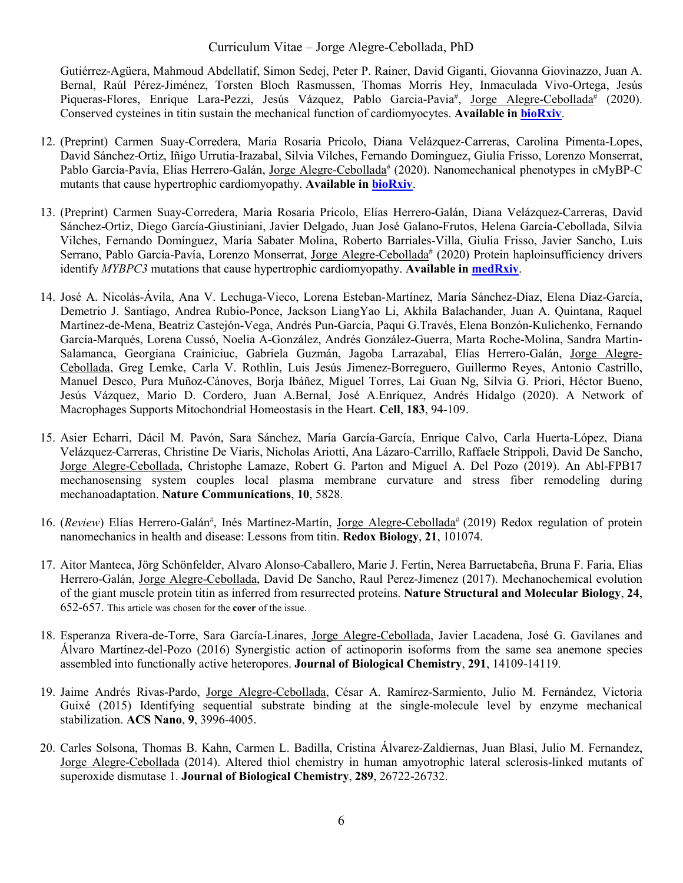Gutiérrez-Agüera, Mahmoud Abdellatif, Simon Sedej, Peter P. Rainer, David Giganti, Giovanna Giovinazzo, Juan A. Bernal, Raúl Pérez-Jiménez, Torsten Bloch Rasmussen, Thomas Morris Hey, Inmaculada Vivo-Ortega, Jesús Piqueras-Flores, Enrique Lara-Pezzi, Jesús Vázquez, Pablo Garcia-Pavia<sup>#</sup>, Jorge Alegre-Cebollada<sup>#</sup> (2020). Conserved cysteines in titin sustain the mechanical function of cardiomyocytes. **Available i[n bioRxiv](https://www.biorxiv.org/content/10.1101/2020.09.05.282913v1)**.

- 12. (Preprint) Carmen Suay-Corredera, Maria Rosaria Pricolo, Diana Velázquez-Carreras, Carolina Pimenta-Lopes, David Sánchez-Ortiz, Iñigo Urrutia-Irazabal, Silvia Vilches, Fernando Dominguez, Giulia Frisso, Lorenzo Monserrat, Pablo García-Pavía, Elías Herrero-Galán, Jorge Alegre-Cebollada<sup>#</sup> (2020). Nanomechanical phenotypes in cMyBP-C mutants that cause hypertrophic cardiomyopathy. **Available in [bioRxiv](https://www.biorxiv.org/content/10.1101/2020.09.19.304618v1)**.
- 13. (Preprint) Carmen Suay-Corredera, Maria Rosaria Pricolo, Elías Herrero-Galán, Diana Velázquez-Carreras, David Sánchez-Ortiz, Diego García-Giustiniani, Javier Delgado, Juan José Galano-Frutos, Helena García-Cebollada, Silvia Vilches, Fernando Domínguez, María Sabater Molina, Roberto Barriales-Villa, Giulia Frisso, Javier Sancho, Luis Serrano, Pablo García-Pavía, Lorenzo Monserrat, Jorge Alegre-Cebollada<sup>#</sup> (2020) Protein haploinsufficiency drivers identify *MYBPC3* mutations that cause hypertrophic cardiomyopathy. **Available in [medRxiv](https://www.medrxiv.org/content/10.1101/2020.05.04.20087726v1)**.
- 14. José A. Nicolás-Ávila, Ana V. Lechuga-Vieco, Lorena Esteban-Martínez, María Sánchez-Díaz, Elena Díaz-García, Demetrio J. Santiago, Andrea Rubio-Ponce, Jackson LiangYao Li, Akhila Balachander, Juan A. Quintana, Raquel Martínez-de-Mena, Beatriz Castejón-Vega, Andrés Pun-García, Paqui G.Través, Elena Bonzón-Kulichenko, Fernando García-Marqués, Lorena Cussó, Noelia A-González, Andrés González-Guerra, Marta Roche-Molina, Sandra Martin-Salamanca, Georgiana Crainiciuc, Gabriela Guzmán, Jagoba Larrazabal, Elías Herrero-Galán, Jorge Alegre-Cebollada, Greg Lemke, Carla V. Rothlin, Luis Jesús Jimenez-Borreguero, Guillermo Reyes, Antonio Castrillo, Manuel Desco, Pura Muñoz-Cánoves, Borja Ibáñez, Miguel Torres, Lai Guan Ng, Silvia G. Priori, Héctor Bueno, Jesús Vázquez, Mario D. Cordero, Juan A.Bernal, José A.Enríquez, Andrés Hidalgo (2020). A Network of Macrophages Supports Mitochondrial Homeostasis in the Heart. **Cell**, **183**, 94-109.
- 15. Asier Echarri, Dácil M. Pavón, Sara Sánchez, María García-García, Enrique Calvo, Carla Huerta-López, Diana Velázquez-Carreras, Christine De Viaris, Nicholas Ariotti, Ana Lázaro-Carrillo, Raffaele Strippoli, David De Sancho, Jorge Alegre-Cebollada, Christophe Lamaze, Robert G. Parton and Miguel A. Del Pozo (2019). An Abl-FPB17 mechanosensing system couples local plasma membrane curvature and stress fiber remodeling during mechanoadaptation. **Nature Communications**, **10**, 5828.
- 16. (Review) Elías Herrero-Galán<sup>#</sup>, Inés Martínez-Martín, Jorge Alegre-Cebollada<sup>#</sup> (2019) Redox regulation of protein nanomechanics in health and disease: Lessons from titin. **Redox Biology**, **21**, 101074.
- 17. Aitor Manteca, Jörg Schönfelder, Alvaro Alonso-Caballero, Marie J. Fertin, Nerea Barruetabeña, Bruna F. Faria, Elias Herrero-Galán, Jorge Alegre-Cebollada, David De Sancho, Raul Perez-Jimenez (2017). Mechanochemical evolution of the giant muscle protein titin as inferred from resurrected proteins. **Nature Structural and Molecular Biology**, **24**, 652-657. This article was chosen for the **cover** of the issue.
- 18. Esperanza Rivera-de-Torre, Sara García-Linares, Jorge Alegre-Cebollada, Javier Lacadena, José G. Gavilanes and Álvaro Martínez-del-Pozo (2016) Synergistic action of actinoporin isoforms from the same sea anemone species assembled into functionally active heteropores. **Journal of Biological Chemistry**, **291**, 14109-14119.
- 19. Jaime Andrés Rivas-Pardo, Jorge Alegre-Cebollada, César A. Ramírez-Sarmiento, Julio M. Fernández, Victoria Guixé (2015) Identifying sequential substrate binding at the single-molecule level by enzyme mechanical stabilization. **ACS Nano**, **9**, 3996-4005.
- 20. Carles Solsona, Thomas B. Kahn, Carmen L. Badilla, Cristina Álvarez-Zaldiernas, Juan Blasi, Julio M. Fernandez, Jorge Alegre-Cebollada (2014). Altered thiol chemistry in human amyotrophic lateral sclerosis-linked mutants of superoxide dismutase 1. **Journal of Biological Chemistry**, **289**, 26722-26732.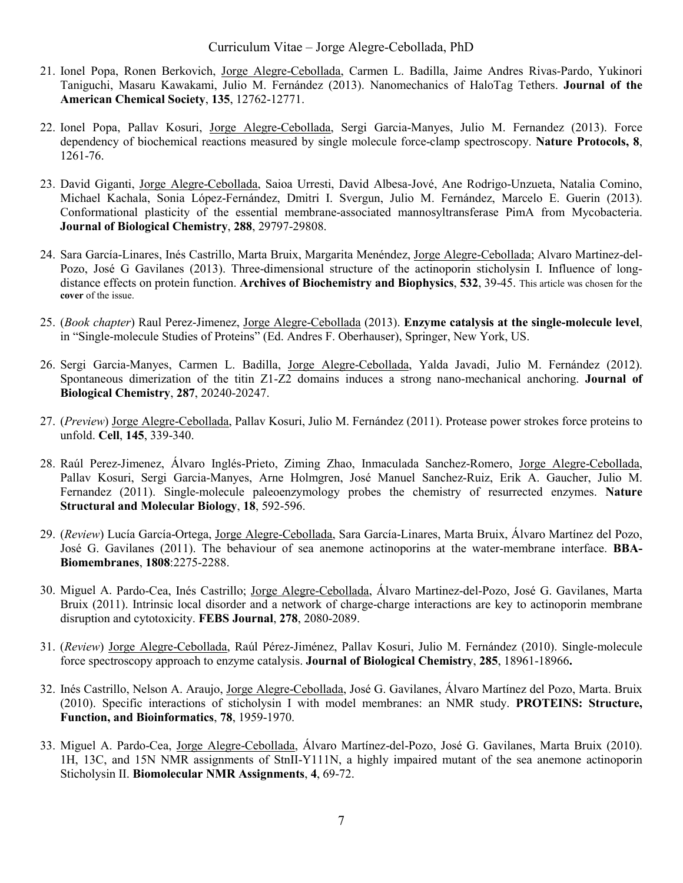- 21. Ionel Popa, Ronen Berkovich, Jorge Alegre-Cebollada, Carmen L. Badilla, Jaime Andres Rivas-Pardo, Yukinori Taniguchi, Masaru Kawakami, Julio M. Fernández (2013). Nanomechanics of HaloTag Tethers. **Journal of the American Chemical Society**, **135**, 12762-12771.
- 22. Ionel Popa, Pallav Kosuri, Jorge Alegre-Cebollada, Sergi Garcia-Manyes, Julio M. Fernandez (2013). Force dependency of biochemical reactions measured by single molecule force-clamp spectroscopy. **Nature Protocols, 8**, 1261-76.
- 23. David Giganti, Jorge Alegre-Cebollada, Saioa Urresti, David Albesa-Jové, Ane Rodrigo-Unzueta, Natalia Comino, Michael Kachala, Sonia López-Fernández, Dmitri I. Svergun, Julio M. Fernández, Marcelo E. Guerin (2013). Conformational plasticity of the essential membrane-associated mannosyltransferase PimA from Mycobacteria. **Journal of Biological Chemistry**, **288**, 29797-29808.
- 24. Sara García-Linares, Inés Castrillo, Marta Bruix, Margarita Menéndez, Jorge Alegre-Cebollada; Alvaro Martinez-del-Pozo, José G Gavilanes (2013). Three-dimensional structure of the actinoporin sticholysin I. Influence of longdistance effects on protein function. **Archives of Biochemistry and Biophysics**, **532**, 39-45. This article was chosen for the **cover** of the issue.
- 25. (*Book chapter*) Raul Perez-Jimenez, Jorge Alegre-Cebollada (2013). **Enzyme catalysis at the single-molecule level**, in "Single-molecule Studies of Proteins" (Ed. Andres F. Oberhauser), Springer, New York, US.
- 26. Sergi Garcia-Manyes, Carmen L. Badilla, Jorge Alegre-Cebollada, Yalda Javadi, Julio M. Fernández (2012). Spontaneous dimerization of the titin Z1-Z2 domains induces a strong nano-mechanical anchoring. **Journal of Biological Chemistry**, **287**, 20240-20247.
- 27. (*Preview*) Jorge Alegre-Cebollada, Pallav Kosuri, Julio M. Fernández (2011). Protease power strokes force proteins to unfold. **Cell**, **145**, 339-340.
- 28. Raúl Perez-Jimenez, Álvaro Inglés-Prieto, Ziming Zhao, Inmaculada Sanchez-Romero, Jorge Alegre-Cebollada, Pallav Kosuri, Sergi Garcia-Manyes, Arne Holmgren, José Manuel Sanchez-Ruiz, Erik A. Gaucher, Julio M. Fernandez (2011). Single-molecule paleoenzymology probes the chemistry of resurrected enzymes. **Nature Structural and Molecular Biology**, **18**, 592-596.
- 29. (*Review*) Lucía García-Ortega, Jorge Alegre-Cebollada, Sara García-Linares, Marta Bruix, Álvaro Martínez del Pozo, José G. Gavilanes (2011). The behaviour of sea anemone actinoporins at the water-membrane interface. **BBA-Biomembranes**, **1808**:2275-2288.
- 30. Miguel A. Pardo-Cea, Inés Castrillo; Jorge Alegre-Cebollada, Álvaro Martinez-del-Pozo, José G. Gavilanes, Marta Bruix (2011). Intrinsic local disorder and a network of charge-charge interactions are key to actinoporin membrane disruption and cytotoxicity. **FEBS Journal**, **278**, 2080-2089.
- 31. (*Review*) Jorge Alegre-Cebollada, Raúl Pérez-Jiménez, Pallav Kosuri, Julio M. Fernández (2010). Single-molecule force spectroscopy approach to enzyme catalysis. **Journal of Biological Chemistry**, **285**, 18961-18966**.**
- 32. Inés Castrillo, Nelson A. Araujo, Jorge Alegre-Cebollada, José G. Gavilanes, Álvaro Martínez del Pozo, Marta. Bruix (2010). Specific interactions of sticholysin I with model membranes: an NMR study. **PROTEINS: Structure, Function, and Bioinformatics**, **78**, 1959-1970.
- 33. Miguel A. Pardo-Cea, Jorge Alegre-Cebollada, Álvaro Martínez-del-Pozo, José G. Gavilanes, Marta Bruix (2010). 1H, 13C, and 15N NMR assignments of StnII-Y111N, a highly impaired mutant of the sea anemone actinoporin Sticholysin II. **Biomolecular NMR Assignments**, **4**, 69-72.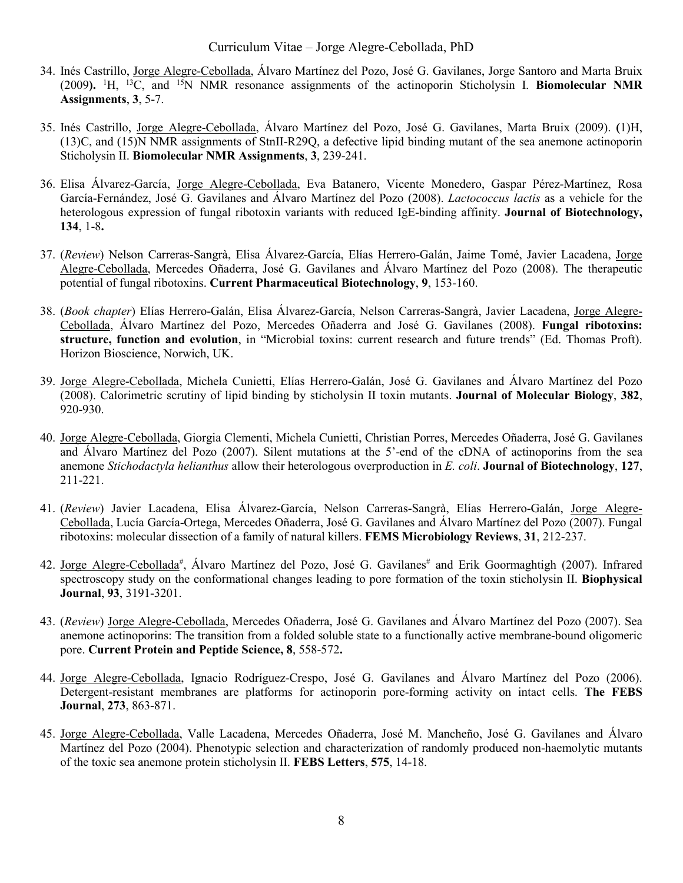- 34. Inés Castrillo, Jorge Alegre-Cebollada, Álvaro Martínez del Pozo, José G. Gavilanes, Jorge Santoro and Marta Bruix (2009**).** <sup>1</sup> H, 13C, and 15N NMR resonance assignments of the actinoporin Sticholysin I. **Biomolecular NMR Assignments**, **3**, 5-7.
- 35. Inés Castrillo, Jorge Alegre-Cebollada, Álvaro Martínez del Pozo, José G. Gavilanes, Marta Bruix (2009). **(**1)H, (13)C, and (15)N NMR assignments of StnII-R29Q, a defective lipid binding mutant of the sea anemone actinoporin Sticholysin II. **Biomolecular NMR Assignments**, **3**, 239-241.
- 36. Elisa Álvarez-García, Jorge Alegre-Cebollada, Eva Batanero, Vicente Monedero, Gaspar Pérez-Martínez, Rosa García-Fernández, José G. Gavilanes and Álvaro Martínez del Pozo (2008). *Lactococcus lactis* as a vehicle for the heterologous expression of fungal ribotoxin variants with reduced IgE-binding affinity. **Journal of Biotechnology, 134**, 1-8**.**
- 37. (*Review*) Nelson Carreras-Sangrà, Elisa Álvarez-García, Elías Herrero-Galán, Jaime Tomé, Javier Lacadena, Jorge Alegre-Cebollada, Mercedes Oñaderra, José G. Gavilanes and Álvaro Martínez del Pozo (2008). The therapeutic potential of fungal ribotoxins. **Current Pharmaceutical Biotechnology**, **9**, 153-160.
- 38. (*Book chapter*) Elías Herrero-Galán, Elisa Álvarez-García, Nelson Carreras-Sangrà, Javier Lacadena, Jorge Alegre-Cebollada, Álvaro Martínez del Pozo, Mercedes Oñaderra and José G. Gavilanes (2008). **Fungal ribotoxins: structure, function and evolution**, in "Microbial toxins: current research and future trends" (Ed. Thomas Proft). Horizon Bioscience, Norwich, UK.
- 39. Jorge Alegre-Cebollada, Michela Cunietti, Elías Herrero-Galán, José G. Gavilanes and Álvaro Martínez del Pozo (2008). Calorimetric scrutiny of lipid binding by sticholysin II toxin mutants. **Journal of Molecular Biology**, **382**, 920-930.
- 40. Jorge Alegre-Cebollada, Giorgia Clementi, Michela Cunietti, Christian Porres, Mercedes Oñaderra, José G. Gavilanes and Álvaro Martínez del Pozo (2007). Silent mutations at the 5'-end of the cDNA of actinoporins from the sea anemone *Stichodactyla helianthus* allow their heterologous overproduction in *E. coli*. **Journal of Biotechnology**, **127**, 211-221.
- 41. (*Review*) Javier Lacadena, Elisa Álvarez-García, Nelson Carreras-Sangrà, Elías Herrero-Galán, Jorge Alegre-Cebollada, Lucía García-Ortega, Mercedes Oñaderra, José G. Gavilanes and Álvaro Martínez del Pozo (2007). Fungal ribotoxins: molecular dissection of a family of natural killers. **FEMS Microbiology Reviews**, **31**, 212-237.
- 42. Jorge Alegre-Cebollada<sup>#</sup>, Álvaro Martínez del Pozo, José G. Gavilanes<sup>#</sup> and Erik Goormaghtigh (2007). Infrared spectroscopy study on the conformational changes leading to pore formation of the toxin sticholysin II. **Biophysical Journal**, **93**, 3191-3201.
- 43. (*Review*) Jorge Alegre-Cebollada, Mercedes Oñaderra, José G. Gavilanes and Álvaro Martínez del Pozo (2007). Sea anemone actinoporins: The transition from a folded soluble state to a functionally active membrane-bound oligomeric pore. **Current Protein and Peptide Science, 8**, 558-572**.**
- 44. Jorge Alegre-Cebollada, Ignacio Rodríguez-Crespo, José G. Gavilanes and Álvaro Martínez del Pozo (2006). Detergent-resistant membranes are platforms for actinoporin pore-forming activity on intact cells. **The FEBS Journal**, **273**, 863-871.
- 45. Jorge Alegre-Cebollada, Valle Lacadena, Mercedes Oñaderra, José M. Mancheño, José G. Gavilanes and Álvaro Martínez del Pozo (2004). Phenotypic selection and characterization of randomly produced non-haemolytic mutants of the toxic sea anemone protein sticholysin II. **FEBS Letters**, **575**, 14-18.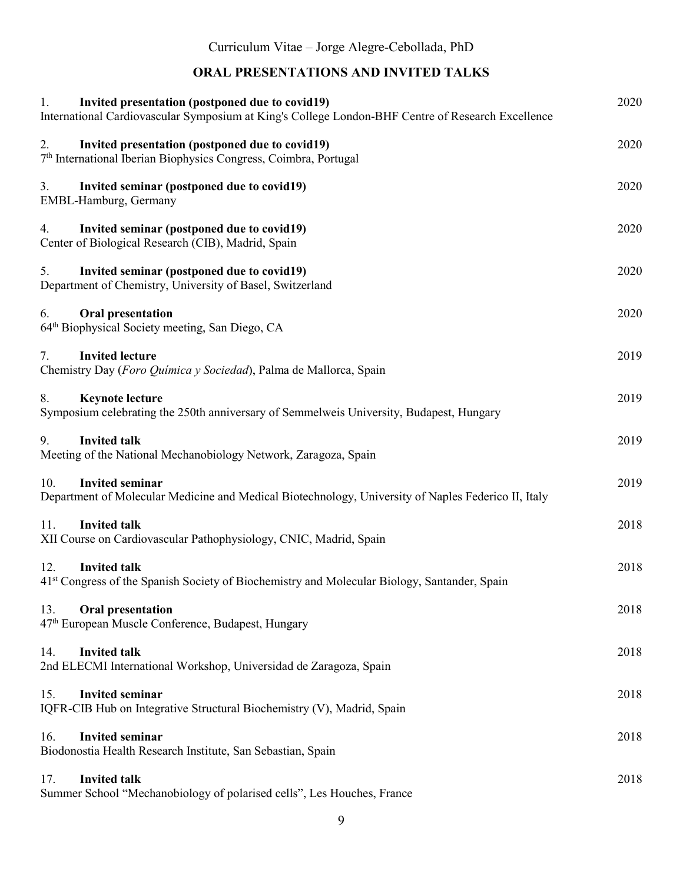## **ORAL PRESENTATIONS AND INVITED TALKS**

| Invited presentation (postponed due to covid19)<br>1.<br>International Cardiovascular Symposium at King's College London-BHF Centre of Research Excellence | 2020 |
|------------------------------------------------------------------------------------------------------------------------------------------------------------|------|
| Invited presentation (postponed due to covid19)<br>2.<br>7 <sup>th</sup> International Iberian Biophysics Congress, Coimbra, Portugal                      | 2020 |
| Invited seminar (postponed due to covid19)<br>3.<br>EMBL-Hamburg, Germany                                                                                  | 2020 |
| Invited seminar (postponed due to covid19)<br>4.<br>Center of Biological Research (CIB), Madrid, Spain                                                     | 2020 |
| 5.<br>Invited seminar (postponed due to covid19)<br>Department of Chemistry, University of Basel, Switzerland                                              | 2020 |
| Oral presentation<br>6.<br>64 <sup>th</sup> Biophysical Society meeting, San Diego, CA                                                                     | 2020 |
| <b>Invited lecture</b><br>7.<br>Chemistry Day (Foro Química y Sociedad), Palma de Mallorca, Spain                                                          | 2019 |
| <b>Keynote lecture</b><br>8.<br>Symposium celebrating the 250th anniversary of Semmelweis University, Budapest, Hungary                                    | 2019 |
| <b>Invited talk</b><br>9.<br>Meeting of the National Mechanobiology Network, Zaragoza, Spain                                                               | 2019 |
| <b>Invited seminar</b><br>10.<br>Department of Molecular Medicine and Medical Biotechnology, University of Naples Federico II, Italy                       | 2019 |
| 11.<br><b>Invited talk</b><br>XII Course on Cardiovascular Pathophysiology, CNIC, Madrid, Spain                                                            | 2018 |
| <b>Invited talk</b><br>12.<br>41 <sup>st</sup> Congress of the Spanish Society of Biochemistry and Molecular Biology, Santander, Spain                     | 2018 |
| Oral presentation<br>13.<br>47 <sup>th</sup> European Muscle Conference, Budapest, Hungary                                                                 | 2018 |
| <b>Invited talk</b><br>14.<br>2nd ELECMI International Workshop, Universidad de Zaragoza, Spain                                                            | 2018 |
| <b>Invited seminar</b><br>15.<br>IQFR-CIB Hub on Integrative Structural Biochemistry (V), Madrid, Spain                                                    | 2018 |
| <b>Invited seminar</b><br>16.<br>Biodonostia Health Research Institute, San Sebastian, Spain                                                               | 2018 |
| <b>Invited talk</b><br>17.<br>Summer School "Mechanobiology of polarised cells", Les Houches, France                                                       | 2018 |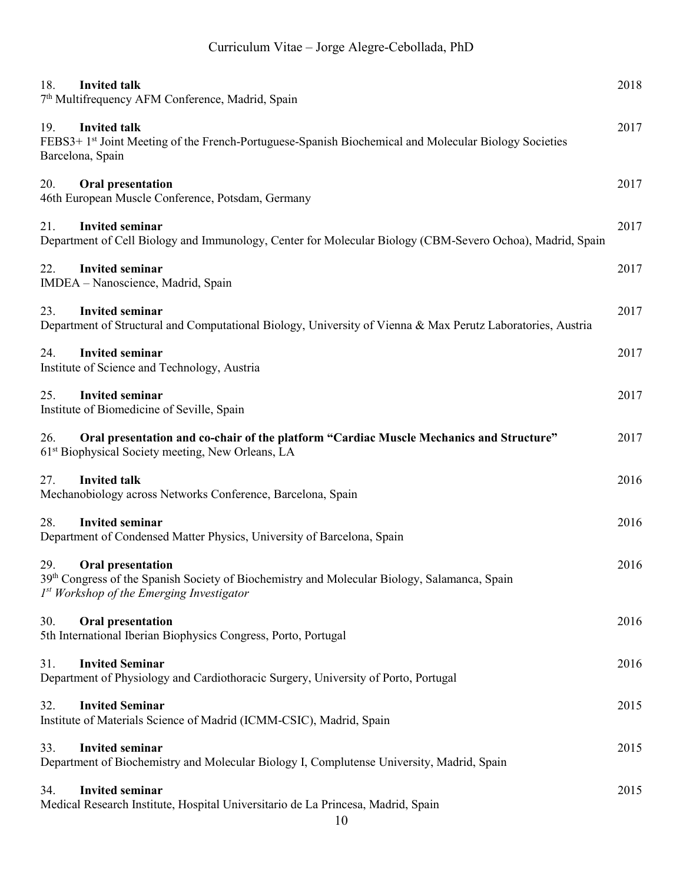| <b>Invited talk</b><br>18.<br>7 <sup>th</sup> Multifrequency AFM Conference, Madrid, Spain                                                                                     | 2018 |
|--------------------------------------------------------------------------------------------------------------------------------------------------------------------------------|------|
| 19.<br><b>Invited talk</b><br>FEBS3+ 1 <sup>st</sup> Joint Meeting of the French-Portuguese-Spanish Biochemical and Molecular Biology Societies<br>Barcelona, Spain            | 2017 |
| 20.<br><b>Oral presentation</b><br>46th European Muscle Conference, Potsdam, Germany                                                                                           | 2017 |
| <b>Invited seminar</b><br>21.<br>Department of Cell Biology and Immunology, Center for Molecular Biology (CBM-Severo Ochoa), Madrid, Spain                                     | 2017 |
| <b>Invited seminar</b><br>22.<br>IMDEA - Nanoscience, Madrid, Spain                                                                                                            | 2017 |
| <b>Invited seminar</b><br>23.<br>Department of Structural and Computational Biology, University of Vienna & Max Perutz Laboratories, Austria                                   | 2017 |
| <b>Invited seminar</b><br>24.<br>Institute of Science and Technology, Austria                                                                                                  | 2017 |
| <b>Invited seminar</b><br>25.<br>Institute of Biomedicine of Seville, Spain                                                                                                    | 2017 |
| Oral presentation and co-chair of the platform "Cardiac Muscle Mechanics and Structure"<br>26.<br>61 <sup>st</sup> Biophysical Society meeting, New Orleans, LA                | 2017 |
| 27.<br><b>Invited talk</b><br>Mechanobiology across Networks Conference, Barcelona, Spain                                                                                      | 2016 |
| <b>Invited seminar</b><br>28.<br>Department of Condensed Matter Physics, University of Barcelona, Spain                                                                        | 2016 |
| 29.<br><b>Oral presentation</b><br>39th Congress of the Spanish Society of Biochemistry and Molecular Biology, Salamanca, Spain<br>$Ist$ Workshop of the Emerging Investigator | 2016 |
| 30.<br><b>Oral presentation</b><br>5th International Iberian Biophysics Congress, Porto, Portugal                                                                              | 2016 |
| <b>Invited Seminar</b><br>31.<br>Department of Physiology and Cardiothoracic Surgery, University of Porto, Portugal                                                            | 2016 |
| <b>Invited Seminar</b><br>32.<br>Institute of Materials Science of Madrid (ICMM-CSIC), Madrid, Spain                                                                           | 2015 |
| <b>Invited seminar</b><br>33.<br>Department of Biochemistry and Molecular Biology I, Complutense University, Madrid, Spain                                                     | 2015 |
| <b>Invited seminar</b><br>34.<br>Medical Research Institute, Hospital Universitario de La Princesa, Madrid, Spain<br>1 <sub>0</sub>                                            | 2015 |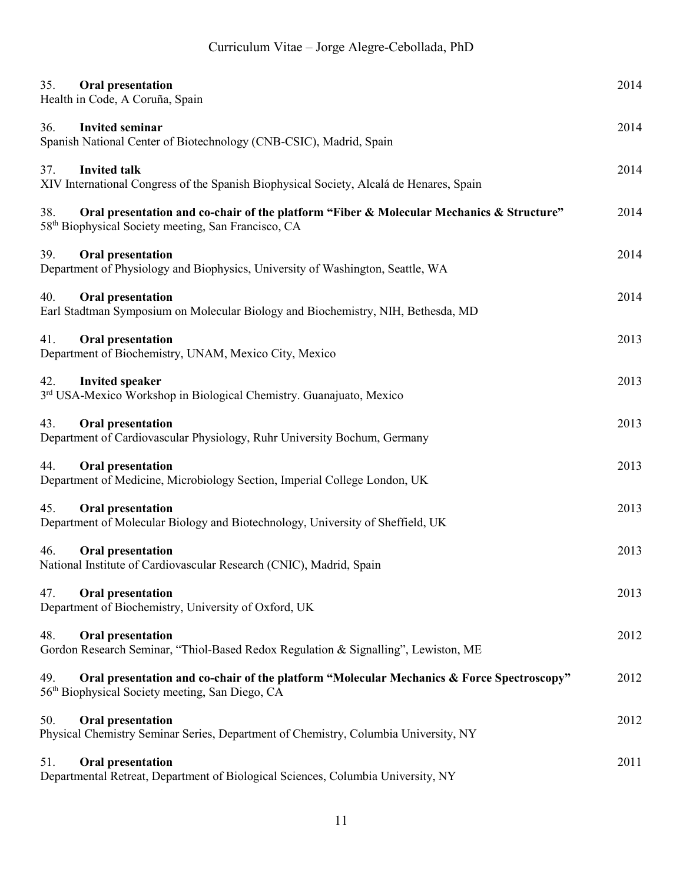| 35.<br>Oral presentation<br>Health in Code, A Coruña, Spain                                                                                                        | 2014 |
|--------------------------------------------------------------------------------------------------------------------------------------------------------------------|------|
| <b>Invited seminar</b><br>36.<br>Spanish National Center of Biotechnology (CNB-CSIC), Madrid, Spain                                                                | 2014 |
| <b>Invited talk</b><br>37.<br>XIV International Congress of the Spanish Biophysical Society, Alcalá de Henares, Spain                                              | 2014 |
| 38.<br>Oral presentation and co-chair of the platform "Fiber & Molecular Mechanics & Structure"<br>58 <sup>th</sup> Biophysical Society meeting, San Francisco, CA | 2014 |
| 39.<br>Oral presentation<br>Department of Physiology and Biophysics, University of Washington, Seattle, WA                                                         | 2014 |
| <b>Oral presentation</b><br>40.<br>Earl Stadtman Symposium on Molecular Biology and Biochemistry, NIH, Bethesda, MD                                                | 2014 |
| Oral presentation<br>41.<br>Department of Biochemistry, UNAM, Mexico City, Mexico                                                                                  | 2013 |
| <b>Invited speaker</b><br>42.<br>3rd USA-Mexico Workshop in Biological Chemistry. Guanajuato, Mexico                                                               | 2013 |
| Oral presentation<br>43.<br>Department of Cardiovascular Physiology, Ruhr University Bochum, Germany                                                               | 2013 |
| Oral presentation<br>44.<br>Department of Medicine, Microbiology Section, Imperial College London, UK                                                              | 2013 |
| 45.<br>Oral presentation<br>Department of Molecular Biology and Biotechnology, University of Sheffield, UK                                                         | 2013 |
| <b>Oral presentation</b><br>46.<br>National Institute of Cardiovascular Research (CNIC), Madrid, Spain                                                             | 2013 |
| Oral presentation<br>47.<br>Department of Biochemistry, University of Oxford, UK                                                                                   | 2013 |
| Oral presentation<br>48.<br>Gordon Research Seminar, "Thiol-Based Redox Regulation & Signalling", Lewiston, ME                                                     | 2012 |
| Oral presentation and co-chair of the platform "Molecular Mechanics & Force Spectroscopy"<br>49.<br>56 <sup>th</sup> Biophysical Society meeting, San Diego, CA    | 2012 |
| 50.<br>Oral presentation<br>Physical Chemistry Seminar Series, Department of Chemistry, Columbia University, NY                                                    | 2012 |
| <b>Oral presentation</b><br>51.<br>Departmental Retreat, Department of Biological Sciences, Columbia University, NY                                                | 2011 |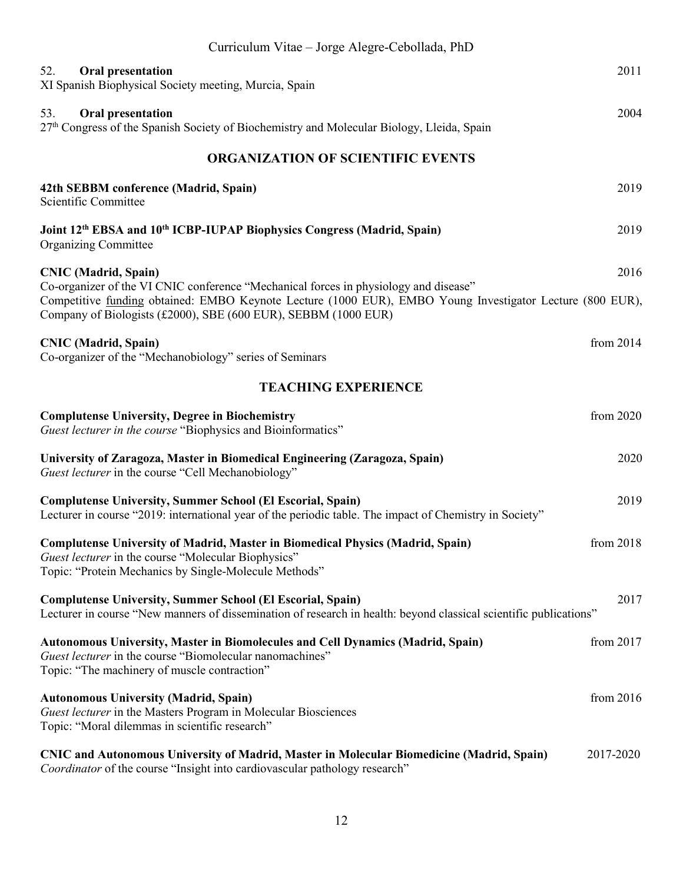| Curriculum Vitae – Jorge Alegre-Cebollada, PhD                                                                                                                                                                                                                                                     |             |
|----------------------------------------------------------------------------------------------------------------------------------------------------------------------------------------------------------------------------------------------------------------------------------------------------|-------------|
| 52.<br><b>Oral presentation</b><br>XI Spanish Biophysical Society meeting, Murcia, Spain                                                                                                                                                                                                           | 2011        |
| 53.<br>Oral presentation<br>27th Congress of the Spanish Society of Biochemistry and Molecular Biology, Lleida, Spain                                                                                                                                                                              | 2004        |
| <b>ORGANIZATION OF SCIENTIFIC EVENTS</b>                                                                                                                                                                                                                                                           |             |
| 42th SEBBM conference (Madrid, Spain)<br>Scientific Committee                                                                                                                                                                                                                                      | 2019        |
| Joint 12th EBSA and 10th ICBP-IUPAP Biophysics Congress (Madrid, Spain)<br><b>Organizing Committee</b>                                                                                                                                                                                             | 2019        |
| <b>CNIC</b> (Madrid, Spain)<br>Co-organizer of the VI CNIC conference "Mechanical forces in physiology and disease"<br>Competitive funding obtained: EMBO Keynote Lecture (1000 EUR), EMBO Young Investigator Lecture (800 EUR),<br>Company of Biologists (£2000), SBE (600 EUR), SEBBM (1000 EUR) | 2016        |
| <b>CNIC</b> (Madrid, Spain)<br>Co-organizer of the "Mechanobiology" series of Seminars                                                                                                                                                                                                             | from $2014$ |
| <b>TEACHING EXPERIENCE</b>                                                                                                                                                                                                                                                                         |             |
| <b>Complutense University, Degree in Biochemistry</b><br>Guest lecturer in the course "Biophysics and Bioinformatics"                                                                                                                                                                              | from 2020   |
| University of Zaragoza, Master in Biomedical Engineering (Zaragoza, Spain)<br>Guest lecturer in the course "Cell Mechanobiology"                                                                                                                                                                   | 2020        |
| <b>Complutense University, Summer School (El Escorial, Spain)</b><br>Lecturer in course "2019: international year of the periodic table. The impact of Chemistry in Society"                                                                                                                       | 2019        |
| <b>Complutense University of Madrid, Master in Biomedical Physics (Madrid, Spain)</b><br>Guest lecturer in the course "Molecular Biophysics"<br>Topic: "Protein Mechanics by Single-Molecule Methods"                                                                                              | from 2018   |
| <b>Complutense University, Summer School (El Escorial, Spain)</b><br>Lecturer in course "New manners of dissemination of research in health: beyond classical scientific publications"                                                                                                             | 2017        |
| <b>Autonomous University, Master in Biomolecules and Cell Dynamics (Madrid, Spain)</b><br>Guest lecturer in the course "Biomolecular nanomachines"<br>Topic: "The machinery of muscle contraction"                                                                                                 | from 2017   |
| <b>Autonomous University (Madrid, Spain)</b><br>Guest lecturer in the Masters Program in Molecular Biosciences<br>Topic: "Moral dilemmas in scientific research"                                                                                                                                   | from 2016   |
| <b>CNIC and Autonomous University of Madrid, Master in Molecular Biomedicine (Madrid, Spain)</b><br>Coordinator of the course "Insight into cardiovascular pathology research"                                                                                                                     | 2017-2020   |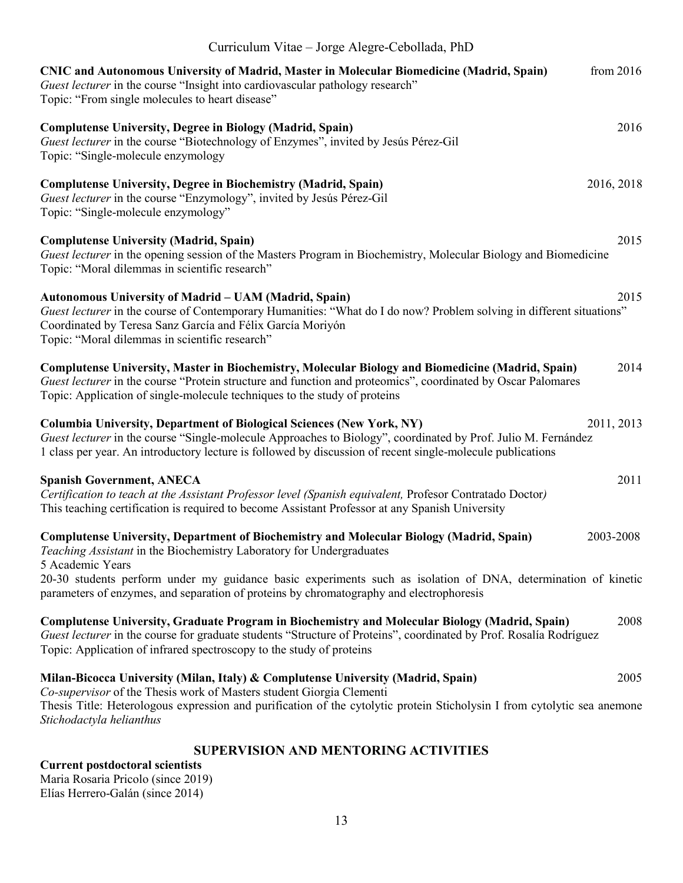| Curriculum Vitae – Jorge Alegre-Cebollada, PhD                                                                                                                                                                                                                                                                            |
|---------------------------------------------------------------------------------------------------------------------------------------------------------------------------------------------------------------------------------------------------------------------------------------------------------------------------|
| from $2016$<br><b>CNIC and Autonomous University of Madrid, Master in Molecular Biomedicine (Madrid, Spain)</b><br>Guest lecturer in the course "Insight into cardiovascular pathology research"<br>Topic: "From single molecules to heart disease"                                                                       |
| 2016<br><b>Complutense University, Degree in Biology (Madrid, Spain)</b><br>Guest lecturer in the course "Biotechnology of Enzymes", invited by Jesús Pérez-Gil<br>Topic: "Single-molecule enzymology                                                                                                                     |
| <b>Complutense University, Degree in Biochemistry (Madrid, Spain)</b><br>2016, 2018<br>Guest lecturer in the course "Enzymology", invited by Jesús Pérez-Gil<br>Topic: "Single-molecule enzymology"                                                                                                                       |
| 2015<br><b>Complutense University (Madrid, Spain)</b><br>Guest lecturer in the opening session of the Masters Program in Biochemistry, Molecular Biology and Biomedicine<br>Topic: "Moral dilemmas in scientific research"                                                                                                |
| Autonomous University of Madrid - UAM (Madrid, Spain)<br>2015<br>Guest lecturer in the course of Contemporary Humanities: "What do I do now? Problem solving in different situations"<br>Coordinated by Teresa Sanz García and Félix García Moriyón<br>Topic: "Moral dilemmas in scientific research"                     |
| Complutense University, Master in Biochemistry, Molecular Biology and Biomedicine (Madrid, Spain)<br>2014<br>Guest lecturer in the course "Protein structure and function and proteomics", coordinated by Oscar Palomares<br>Topic: Application of single-molecule techniques to the study of proteins                    |
| 2011, 2013<br><b>Columbia University, Department of Biological Sciences (New York, NY)</b><br>Guest lecturer in the course "Single-molecule Approaches to Biology", coordinated by Prof. Julio M. Fernández<br>1 class per year. An introductory lecture is followed by discussion of recent single-molecule publications |
| 2011<br><b>Spanish Government, ANECA</b><br>Certification to teach at the Assistant Professor level (Spanish equivalent, Profesor Contratado Doctor)<br>This teaching certification is required to become Assistant Professor at any Spanish University                                                                   |
| 2003-2008<br>Complutense University, Department of Biochemistry and Molecular Biology (Madrid, Spain)<br>Teaching Assistant in the Biochemistry Laboratory for Undergraduates<br>5 Academic Years                                                                                                                         |
| 20-30 students perform under my guidance basic experiments such as isolation of DNA, determination of kinetic<br>parameters of enzymes, and separation of proteins by chromatography and electrophoresis                                                                                                                  |
| Complutense University, Graduate Program in Biochemistry and Molecular Biology (Madrid, Spain)<br>2008<br>Guest lecturer in the course for graduate students "Structure of Proteins", coordinated by Prof. Rosalía Rodríguez<br>Topic: Application of infrared spectroscopy to the study of proteins                      |
| Milan-Bicocca University (Milan, Italy) & Complutense University (Madrid, Spain)<br>2005<br>Co-supervisor of the Thesis work of Masters student Giorgia Clementi<br>Thesis Title: Heterologous expression and purification of the cytolytic protein Sticholysin I from cytolytic sea anemone<br>Stichodactyla helianthus  |
| <b>SUPERVISION AND MENTORING ACTIVITIES</b><br><b>Current postdoctoral scientists</b>                                                                                                                                                                                                                                     |

Maria Rosaria Pricolo (since 2019) Elías Herrero-Galán (since 2014)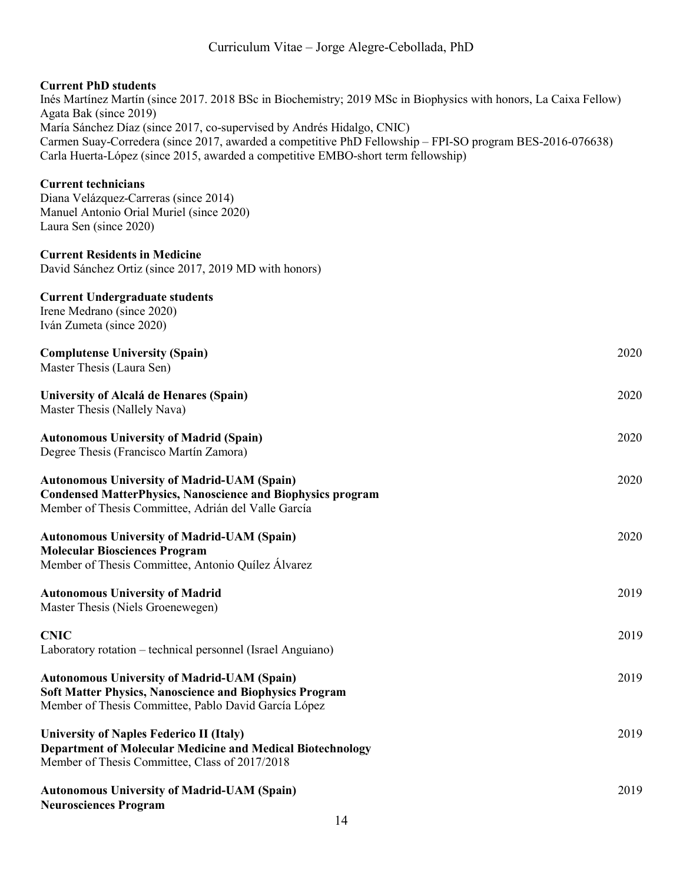#### **Current PhD students**

Inés Martínez Martín (since 2017. 2018 BSc in Biochemistry; 2019 MSc in Biophysics with honors, La Caixa Fellow) Agata Bak (since 2019) María Sánchez Díaz (since 2017, co-supervised by Andrés Hidalgo, CNIC) Carmen Suay-Corredera (since 2017, awarded a competitive PhD Fellowship – FPI-SO program BES-2016-076638) Carla Huerta-López (since 2015, awarded a competitive EMBO-short term fellowship)

#### **Current technicians**

Diana Velázquez-Carreras (since 2014) Manuel Antonio Orial Muriel (since 2020) Laura Sen (since 2020)

#### **Current Residents in Medicine**

David Sánchez Ortiz (since 2017, 2019 MD with honors)

### **Current Undergraduate students**

Irene Medrano (since 2020) Iván Zumeta (since 2020)

#### **Complutense University (Spain)** 2020

Master Thesis (Laura Sen)

**University of Alcalá de Henares (Spain)** 2020

Master Thesis (Nallely Nava)

### **Autonomous University of Madrid (Spain)** 2020

Degree Thesis (Francisco Martín Zamora)

| <b>Autonomous University of Madrid-UAM (Spain)</b>                 | 2020 |
|--------------------------------------------------------------------|------|
| <b>Condensed MatterPhysics, Nanoscience and Biophysics program</b> |      |
| Member of Thesis Committee, Adrián del Valle García                |      |
| <b>Autonomous University of Madrid-UAM (Spain)</b>                 | 2020 |
| <b>Molecular Biosciences Program</b>                               |      |
| Member of Thesis Committee, Antonio Quílez Álvarez                 |      |

## **Autonomous University of Madrid** 2019 Master Thesis (Niels Groenewegen)

## **CNIC** 2019 Laboratory rotation – technical personnel (Israel Anguiano)

#### **Autonomous University of Madrid-UAM (Spain)** 2019 **Soft Matter Physics, Nanoscience and Biophysics Program** Member of Thesis Committee, Pablo David García López

**University of Naples Federico II (Italy)** 2019 **Department of Molecular Medicine and Medical Biotechnology** Member of Thesis Committee, Class of 2017/2018

| <b>Autonomous University of Madrid-UAM (Spain)</b> | 2019 |
|----------------------------------------------------|------|
| <b>Neurosciences Program</b>                       |      |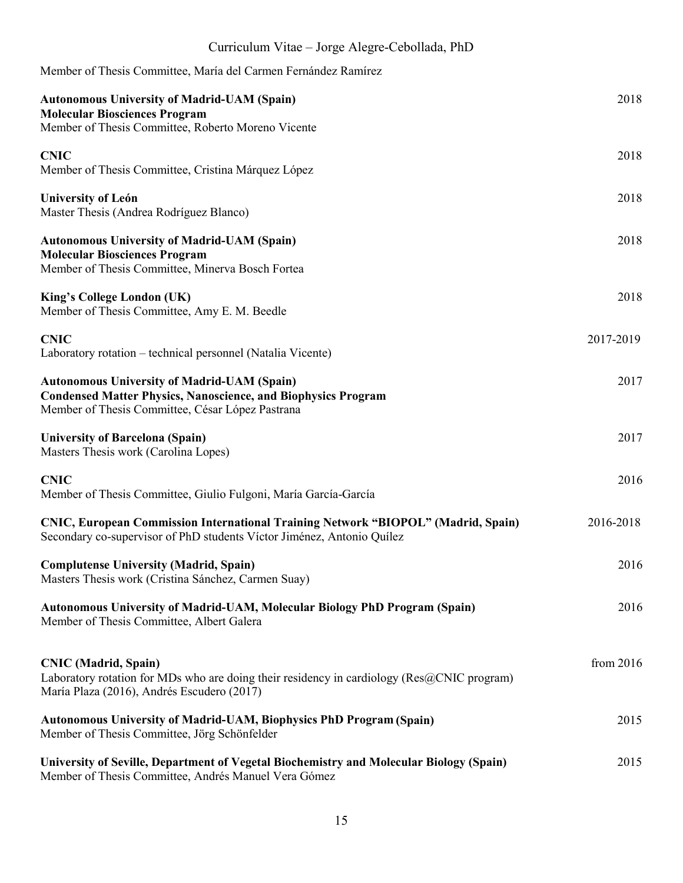| Curriculum Vitae - Jorge Alegre-Cebollada, PhD |  |
|------------------------------------------------|--|
|                                                |  |

| Member of Thesis Committee, María del Carmen Fernández Ramírez                                                                                                                               |           |
|----------------------------------------------------------------------------------------------------------------------------------------------------------------------------------------------|-----------|
| <b>Autonomous University of Madrid-UAM (Spain)</b><br><b>Molecular Biosciences Program</b><br>Member of Thesis Committee, Roberto Moreno Vicente                                             | 2018      |
| <b>CNIC</b><br>Member of Thesis Committee, Cristina Márquez López                                                                                                                            | 2018      |
| <b>University of León</b><br>Master Thesis (Andrea Rodríguez Blanco)                                                                                                                         | 2018      |
| <b>Autonomous University of Madrid-UAM (Spain)</b><br><b>Molecular Biosciences Program</b><br>Member of Thesis Committee, Minerva Bosch Fortea                                               | 2018      |
| King's College London (UK)<br>Member of Thesis Committee, Amy E. M. Beedle                                                                                                                   | 2018      |
| <b>CNIC</b><br>Laboratory rotation – technical personnel (Natalia Vicente)                                                                                                                   | 2017-2019 |
| <b>Autonomous University of Madrid-UAM (Spain)</b><br><b>Condensed Matter Physics, Nanoscience, and Biophysics Program</b><br>Member of Thesis Committee, César López Pastrana               | 2017      |
| <b>University of Barcelona (Spain)</b><br>Masters Thesis work (Carolina Lopes)                                                                                                               | 2017      |
| <b>CNIC</b><br>Member of Thesis Committee, Giulio Fulgoni, María García-García                                                                                                               | 2016      |
| CNIC, European Commission International Training Network "BIOPOL" (Madrid, Spain)<br>Secondary co-supervisor of PhD students Víctor Jiménez, Antonio Quílez                                  | 2016-2018 |
| <b>Complutense University (Madrid, Spain)</b><br>Masters Thesis work (Cristina Sánchez, Carmen Suay)                                                                                         | 2016      |
| <b>Autonomous University of Madrid-UAM, Molecular Biology PhD Program (Spain)</b><br>Member of Thesis Committee, Albert Galera                                                               | 2016      |
| <b>CNIC</b> (Madrid, Spain)<br>Laboratory rotation for MDs who are doing their residency in cardiology ( $\text{Res}(\partial_c CNIC$ program)<br>María Plaza (2016), Andrés Escudero (2017) | from 2016 |
| <b>Autonomous University of Madrid-UAM, Biophysics PhD Program (Spain)</b><br>Member of Thesis Committee, Jörg Schönfelder                                                                   | 2015      |
| University of Seville, Department of Vegetal Biochemistry and Molecular Biology (Spain)<br>Member of Thesis Committee, Andrés Manuel Vera Gómez                                              | 2015      |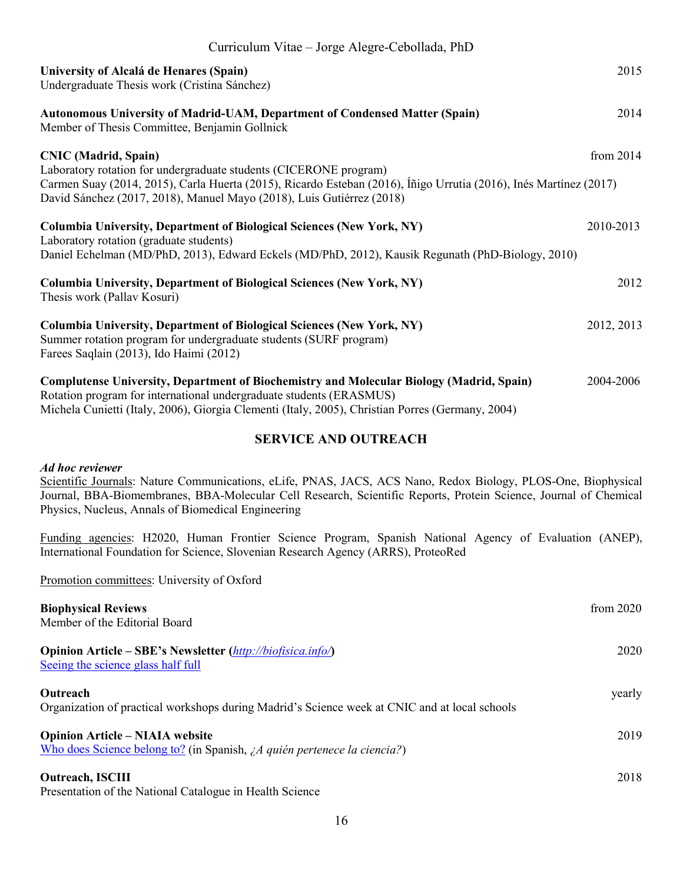| Curriculum Vitae – Jorge Alegre-Cebollada, PhD                                                                                                                                                                                                                             |             |
|----------------------------------------------------------------------------------------------------------------------------------------------------------------------------------------------------------------------------------------------------------------------------|-------------|
| University of Alcalá de Henares (Spain)<br>Undergraduate Thesis work (Cristina Sánchez)                                                                                                                                                                                    | 2015        |
| <b>Autonomous University of Madrid-UAM, Department of Condensed Matter (Spain)</b><br>Member of Thesis Committee, Benjamin Gollnick                                                                                                                                        | 2014        |
| <b>CNIC</b> (Madrid, Spain)                                                                                                                                                                                                                                                | from $2014$ |
| Laboratory rotation for undergraduate students (CICERONE program)<br>Carmen Suay (2014, 2015), Carla Huerta (2015), Ricardo Esteban (2016), Íñigo Urrutia (2016), Inés Martínez (2017)<br>David Sánchez (2017, 2018), Manuel Mayo (2018), Luis Gutiérrez (2018)            |             |
| Columbia University, Department of Biological Sciences (New York, NY)<br>Laboratory rotation (graduate students)<br>Daniel Echelman (MD/PhD, 2013), Edward Eckels (MD/PhD, 2012), Kausik Regunath (PhD-Biology, 2010)                                                      | 2010-2013   |
| Columbia University, Department of Biological Sciences (New York, NY)<br>Thesis work (Pallav Kosuri)                                                                                                                                                                       | 2012        |
| Columbia University, Department of Biological Sciences (New York, NY)<br>Summer rotation program for undergraduate students (SURF program)<br>Farees Saqlain (2013), Ido Haimi (2012)                                                                                      | 2012, 2013  |
| <b>Complutense University, Department of Biochemistry and Molecular Biology (Madrid, Spain)</b><br>Rotation program for international undergraduate students (ERASMUS)<br>Michela Cunietti (Italy, 2006), Giorgia Clementi (Italy, 2005), Christian Porres (Germany, 2004) | 2004-2006   |

#### **SERVICE AND OUTREACH**

#### *Ad hoc reviewer*

Scientific Journals: Nature Communications, eLife, PNAS, JACS, ACS Nano, Redox Biology, PLOS-One, Biophysical Journal, BBA-Biomembranes, BBA-Molecular Cell Research, Scientific Reports, Protein Science, Journal of Chemical Physics, Nucleus, Annals of Biomedical Engineering

Funding agencies: H2020, Human Frontier Science Program, Spanish National Agency of Evaluation (ANEP), International Foundation for Science, Slovenian Research Agency (ARRS), ProteoRed

Promotion committees: University of Oxford

| <b>Biophysical Reviews</b><br>Member of the Editorial Board                                                                 | from $2020$ |
|-----------------------------------------------------------------------------------------------------------------------------|-------------|
| <b>Opinion Article – SBE's Newsletter</b> ( <i>http://biofisica.info/</i> )<br>Seeing the science glass half full           | 2020        |
| <b>Outreach</b><br>Organization of practical workshops during Madrid's Science week at CNIC and at local schools            | yearly      |
| <b>Opinion Article – NIAIA website</b><br>Who does Science belong to? (in Spanish, $\lambda A$ quién pertenece la ciencia?) | 2019        |
| <b>Outreach, ISCIII</b>                                                                                                     | 2018        |

Presentation of the National Catalogue in Health Science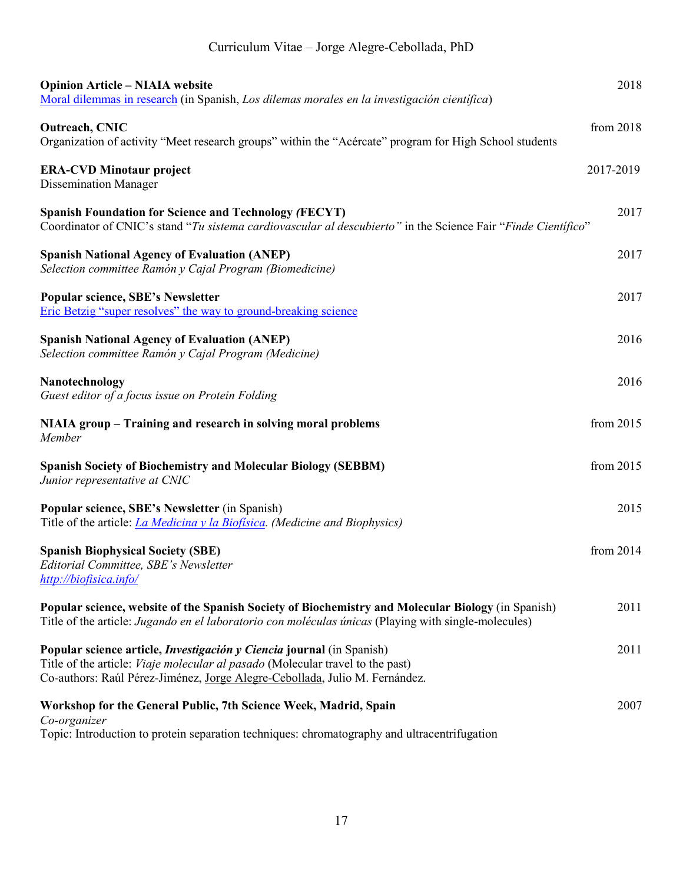| <b>Opinion Article - NIAIA website</b><br>Moral dilemmas in research (in Spanish, Los dilemas morales en la investigación científica)                                                                                                                | 2018      |
|------------------------------------------------------------------------------------------------------------------------------------------------------------------------------------------------------------------------------------------------------|-----------|
| Outreach, CNIC<br>Organization of activity "Meet research groups" within the "Acércate" program for High School students                                                                                                                             | from 2018 |
| <b>ERA-CVD Minotaur project</b><br><b>Dissemination Manager</b>                                                                                                                                                                                      | 2017-2019 |
| <b>Spanish Foundation for Science and Technology (FECYT)</b><br>Coordinator of CNIC's stand "Tu sistema cardiovascular al descubierto" in the Science Fair "Finde Científico"                                                                        | 2017      |
| <b>Spanish National Agency of Evaluation (ANEP)</b><br>Selection committee Ramón y Cajal Program (Biomedicine)                                                                                                                                       | 2017      |
| <b>Popular science, SBE's Newsletter</b><br>Eric Betzig "super resolves" the way to ground-breaking science                                                                                                                                          | 2017      |
| <b>Spanish National Agency of Evaluation (ANEP)</b><br>Selection committee Ramón y Cajal Program (Medicine)                                                                                                                                          | 2016      |
| Nanotechnology<br>Guest editor of a focus issue on Protein Folding                                                                                                                                                                                   | 2016      |
| NIAIA group – Training and research in solving moral problems<br>Member                                                                                                                                                                              | from 2015 |
| <b>Spanish Society of Biochemistry and Molecular Biology (SEBBM)</b><br>Junior representative at CNIC                                                                                                                                                | from 2015 |
| Popular science, SBE's Newsletter (in Spanish)<br>Title of the article: <i>La Medicina y la Biofisica</i> . (Medicine and Biophysics)                                                                                                                | 2015      |
| <b>Spanish Biophysical Society (SBE)</b><br>Editorial Committee, SBE's Newsletter<br>http://biofisica.info/                                                                                                                                          | from 2014 |
| Popular science, website of the Spanish Society of Biochemistry and Molecular Biology (in Spanish)<br>Title of the article: Jugando en el laboratorio con moléculas únicas (Playing with single-molecules)                                           | 2011      |
| Popular science article, <i>Investigación y Ciencia</i> journal (in Spanish)<br>Title of the article: <i>Viaje molecular al pasado</i> (Molecular travel to the past)<br>Co-authors: Raúl Pérez-Jiménez, Jorge Alegre-Cebollada, Julio M. Fernández. | 2011      |
| Workshop for the General Public, 7th Science Week, Madrid, Spain<br>Co-organizer<br>Topic: Introduction to protein separation techniques: chromatography and ultracentrifugation                                                                     | 2007      |